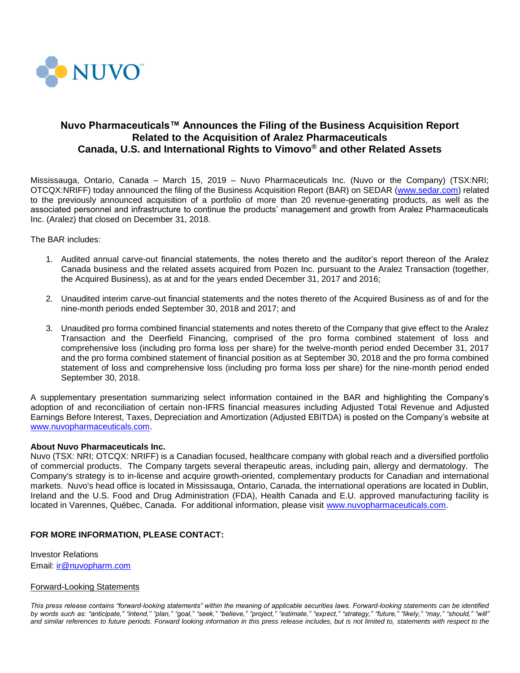

# **Nuvo Pharmaceuticals™ Announces the Filing of the Business Acquisition Report Related to the Acquisition of Aralez Pharmaceuticals Canada, U.S. and International Rights to Vimovo® and other Related Assets**

Mississauga, Ontario, Canada – March 15, 2019 – Nuvo Pharmaceuticals Inc. (Nuvo or the Company) (TSX:NRI; OTCQX:NRIFF) today announced the filing of the Business Acquisition Report (BAR) on SEDAR [\(www.sedar.com\)](http://www.sedar.com/) related to the previously announced acquisition of a portfolio of more than 20 revenue-generating products, as well as the associated personnel and infrastructure to continue the products' management and growth from Aralez Pharmaceuticals Inc. (Aralez) that closed on December 31, 2018.

## The BAR includes:

- 1. Audited annual carve-out financial statements, the notes thereto and the auditor's report thereon of the Aralez Canada business and the related assets acquired from Pozen Inc. pursuant to the Aralez Transaction (together, the Acquired Business), as at and for the years ended December 31, 2017 and 2016;
- 2. Unaudited interim carve-out financial statements and the notes thereto of the Acquired Business as of and for the nine-month periods ended September 30, 2018 and 2017; and
- 3. Unaudited pro forma combined financial statements and notes thereto of the Company that give effect to the Aralez Transaction and the Deerfield Financing, comprised of the pro forma combined statement of loss and comprehensive loss (including pro forma loss per share) for the twelve-month period ended December 31, 2017 and the pro forma combined statement of financial position as at September 30, 2018 and the pro forma combined statement of loss and comprehensive loss (including pro forma loss per share) for the nine-month period ended September 30, 2018.

A supplementary presentation summarizing select information contained in the BAR and highlighting the Company's adoption of and reconciliation of certain non-IFRS financial measures including Adjusted Total Revenue and Adjusted Earnings Before Interest, Taxes, Depreciation and Amortization (Adjusted EBITDA) is posted on the Company's website at [www.nuvopharmaceuticals.com.](http://www.nuvopharmaceuticals.com/)

### **About Nuvo Pharmaceuticals Inc.**

Nuvo (TSX: NRI; OTCQX: NRIFF) is a Canadian focused, healthcare company with global reach and a diversified portfolio of commercial products. The Company targets several therapeutic areas, including pain, allergy and dermatology. The Company's strategy is to in-license and acquire growth-oriented, complementary products for Canadian and international markets. Nuvo's head office is located in Mississauga, Ontario, Canada, the international operations are located in Dublin, Ireland and the U.S. Food and Drug Administration (FDA), Health Canada and E.U. approved manufacturing facility is located in Varennes, Québec, Canada. For additional information, please visit [www.nuvopharmaceuticals.com.](http://www.nuvopharmaceuticals.com/)

### **FOR MORE INFORMATION, PLEASE CONTACT:**

Investor Relations Email: [ir@nuvopharm.com](mailto:ir@nuvopharm.com)

#### Forward-Looking Statements

*This press release contains "forward-looking statements" within the meaning of applicable securities laws. Forward-looking statements can be identified by words such as: "anticipate," "intend," "plan," "goal," "seek," "believe," "project," "estimate," "expect," "strategy," "future," "likely," "may," "should," "will"*  and similar references to future periods. Forward looking information in this press release includes, but is not limited to, statements with respect to the